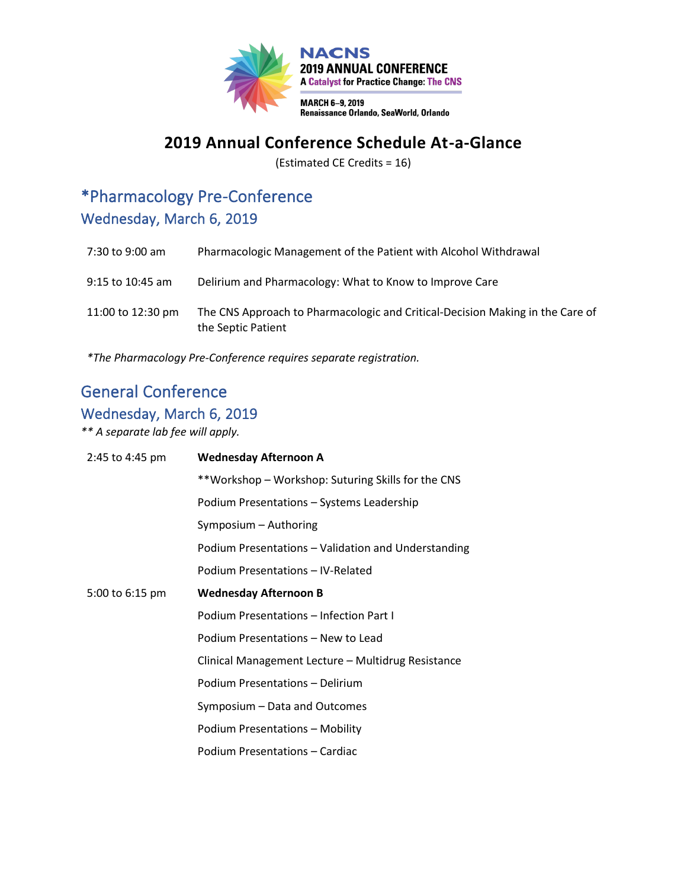

### **2019 Annual Conference Schedule At-a-Glance**

(Estimated CE Credits = 16)

### \*Pharmacology Pre-Conference Wednesday, March 6, 2019

| 7:30 to 9:00 am   | Pharmacologic Management of the Patient with Alcohol Withdrawal                                     |
|-------------------|-----------------------------------------------------------------------------------------------------|
| 9:15 to 10:45 am  | Delirium and Pharmacology: What to Know to Improve Care                                             |
| 11:00 to 12:30 pm | The CNS Approach to Pharmacologic and Critical-Decision Making in the Care of<br>the Septic Patient |

*\*The Pharmacology Pre-Conference requires separate registration.*

### General Conference

#### Wednesday, March 6, 2019

*\*\* A separate lab fee will apply.*

| 2:45 to 4:45 pm | <b>Wednesday Afternoon A</b>                        |
|-----------------|-----------------------------------------------------|
|                 | **Workshop – Workshop: Suturing Skills for the CNS  |
|                 | Podium Presentations - Systems Leadership           |
|                 | Symposium - Authoring                               |
|                 | Podium Presentations – Validation and Understanding |
|                 | Podium Presentations - IV-Related                   |
| 5:00 to 6:15 pm | <b>Wednesday Afternoon B</b>                        |
|                 | Podium Presentations - Infection Part I             |
|                 | Podium Presentations - New to Lead                  |
|                 | Clinical Management Lecture - Multidrug Resistance  |
|                 | Podium Presentations - Delirium                     |
|                 | Symposium – Data and Outcomes                       |
|                 | Podium Presentations - Mobility                     |
|                 | Podium Presentations - Cardiac                      |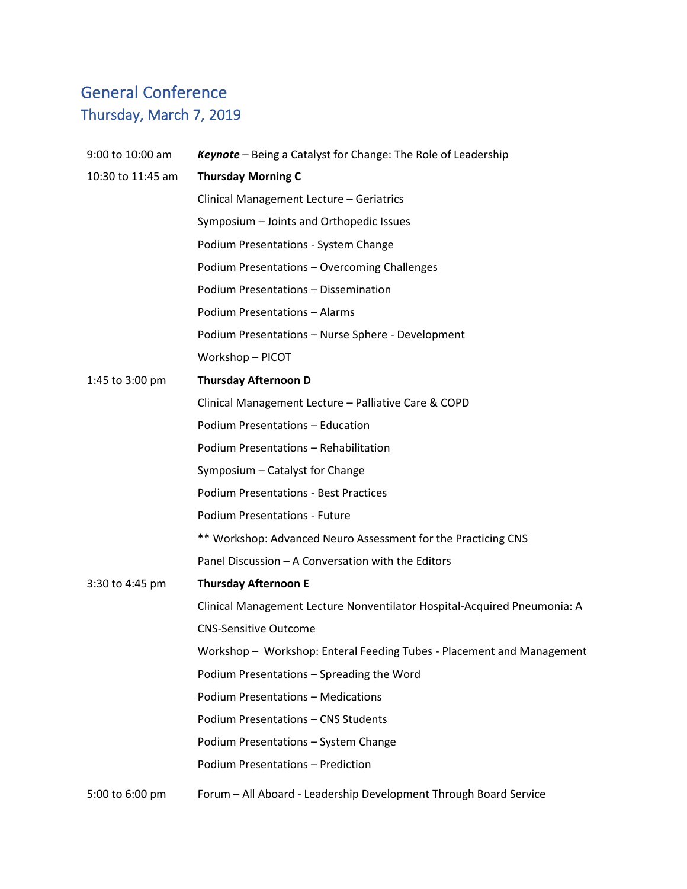## General Conference Thursday, March 7, 2019

| 9:00 to 10:00 am  | <b>Keynote</b> – Being a Catalyst for Change: The Role of Leadership     |
|-------------------|--------------------------------------------------------------------------|
| 10:30 to 11:45 am | <b>Thursday Morning C</b>                                                |
|                   | Clinical Management Lecture - Geriatrics                                 |
|                   | Symposium - Joints and Orthopedic Issues                                 |
|                   | Podium Presentations - System Change                                     |
|                   | Podium Presentations - Overcoming Challenges                             |
|                   | Podium Presentations - Dissemination                                     |
|                   | <b>Podium Presentations - Alarms</b>                                     |
|                   | Podium Presentations - Nurse Sphere - Development                        |
|                   | Workshop-PICOT                                                           |
| 1:45 to 3:00 pm   | <b>Thursday Afternoon D</b>                                              |
|                   | Clinical Management Lecture - Palliative Care & COPD                     |
|                   | Podium Presentations - Education                                         |
|                   | Podium Presentations - Rehabilitation                                    |
|                   | Symposium - Catalyst for Change                                          |
|                   | <b>Podium Presentations - Best Practices</b>                             |
|                   | <b>Podium Presentations - Future</b>                                     |
|                   | ** Workshop: Advanced Neuro Assessment for the Practicing CNS            |
|                   | Panel Discussion - A Conversation with the Editors                       |
| 3:30 to 4:45 pm   | <b>Thursday Afternoon E</b>                                              |
|                   | Clinical Management Lecture Nonventilator Hospital-Acquired Pneumonia: A |
|                   | <b>CNS-Sensitive Outcome</b>                                             |
|                   | Workshop - Workshop: Enteral Feeding Tubes - Placement and Management    |
|                   | Podium Presentations - Spreading the Word                                |
|                   | <b>Podium Presentations - Medications</b>                                |
|                   | Podium Presentations - CNS Students                                      |
|                   | Podium Presentations - System Change                                     |
|                   | Podium Presentations - Prediction                                        |
| 5:00 to 6:00 pm   | Forum - All Aboard - Leadership Development Through Board Service        |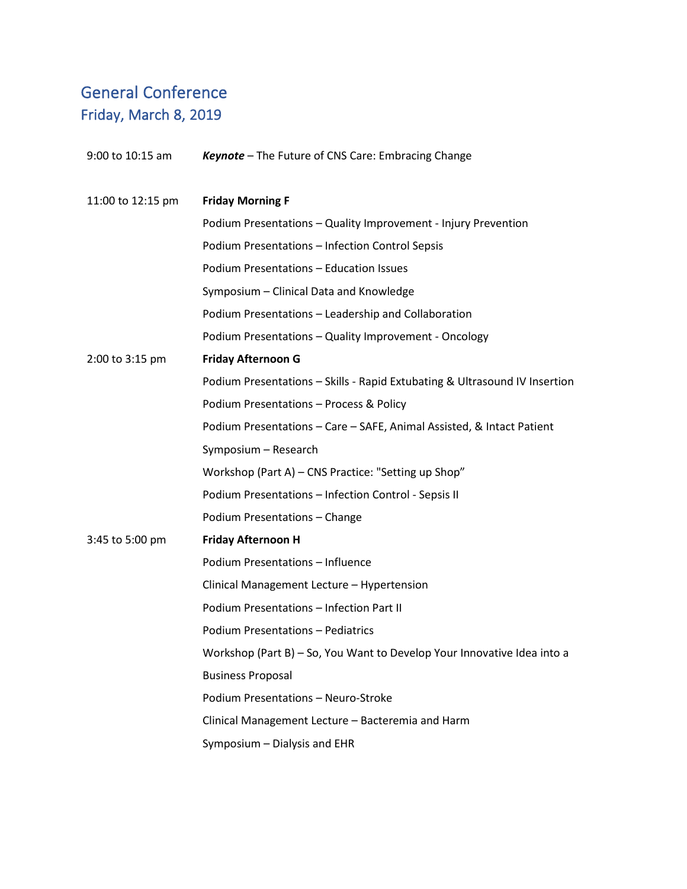# General Conference Friday, March 8, 2019

| 9:00 to 10:15 am  | Keynote - The Future of CNS Care: Embracing Change                         |
|-------------------|----------------------------------------------------------------------------|
| 11:00 to 12:15 pm | <b>Friday Morning F</b>                                                    |
|                   | Podium Presentations - Quality Improvement - Injury Prevention             |
|                   | Podium Presentations - Infection Control Sepsis                            |
|                   | Podium Presentations - Education Issues                                    |
|                   | Symposium - Clinical Data and Knowledge                                    |
|                   | Podium Presentations - Leadership and Collaboration                        |
|                   | Podium Presentations - Quality Improvement - Oncology                      |
| 2:00 to 3:15 pm   | <b>Friday Afternoon G</b>                                                  |
|                   | Podium Presentations - Skills - Rapid Extubating & Ultrasound IV Insertion |
|                   | Podium Presentations - Process & Policy                                    |
|                   | Podium Presentations - Care - SAFE, Animal Assisted, & Intact Patient      |
|                   | Symposium - Research                                                       |
|                   | Workshop (Part A) - CNS Practice: "Setting up Shop"                        |
|                   | Podium Presentations - Infection Control - Sepsis II                       |
|                   | Podium Presentations - Change                                              |
| 3:45 to 5:00 pm   | <b>Friday Afternoon H</b>                                                  |
|                   | Podium Presentations - Influence                                           |
|                   | Clinical Management Lecture - Hypertension                                 |
|                   | Podium Presentations - Infection Part II                                   |
|                   | <b>Podium Presentations - Pediatrics</b>                                   |
|                   | Workshop (Part B) - So, You Want to Develop Your Innovative Idea into a    |
|                   | <b>Business Proposal</b>                                                   |
|                   | Podium Presentations - Neuro-Stroke                                        |
|                   | Clinical Management Lecture - Bacteremia and Harm                          |
|                   | Symposium - Dialysis and EHR                                               |